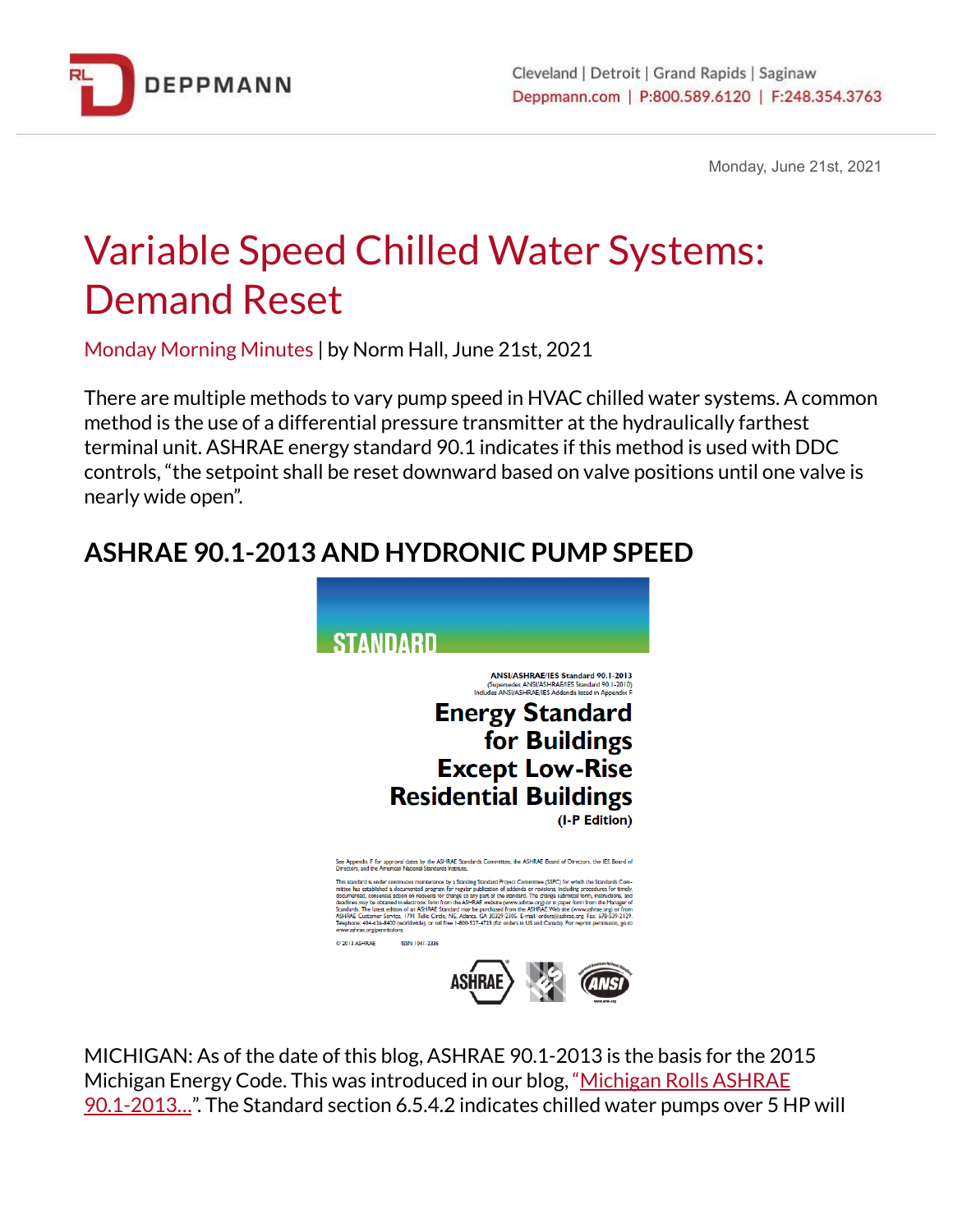

Monday, June 21st, 2021

# Variable Speed Chilled Water Systems: Demand Reset

Monday Morning Minutes | by Norm Hall, June 21st, 2021

There are multiple methods to vary pump speed in HVAC chilled water systems. A common method is the use of a differential pressure transmitter at the hydraulically farthest terminal unit. ASHRAE energy standard 90.1 indicates if this method is used with DDC controls, "the setpoint shall be reset downward based on valve positions until one valve is nearly wide open".

# **ASHRAE 90.1-2013 AND HYDRONIC PUMP SPEED**



MICHIGAN: As of the date of this blog, ASHRAE 90.1-2013 is the basis for the 2015 [Michigan](http://bit.ly/2GJ6ZL9) Energy Code. This was introduced in our blog, "Michigan Rolls ASHRAE [90.1-2013…](http://bit.ly/2GJ6ZL9)". The Standard section 6.5.4.2 indicates chilled water pumps over 5 HP will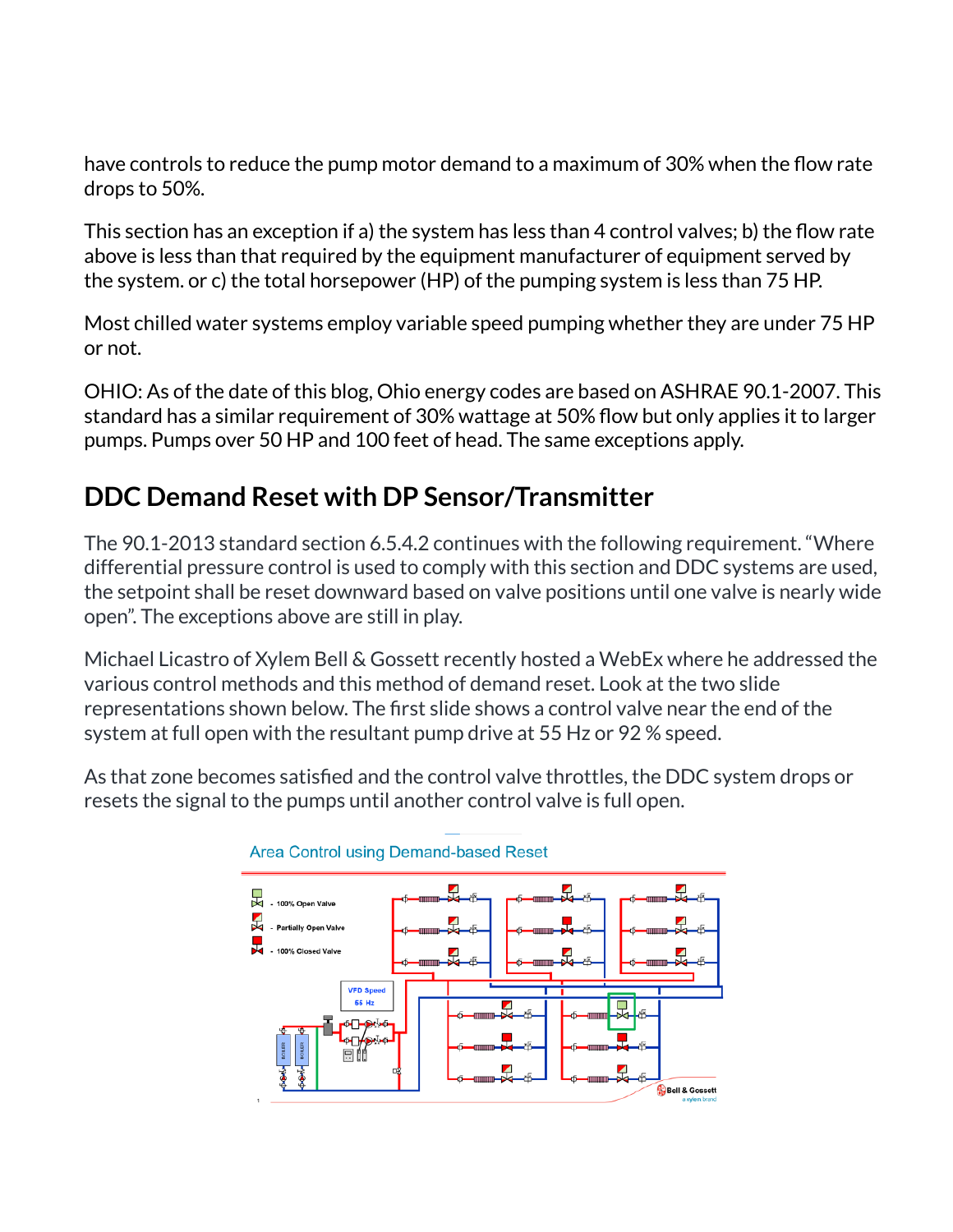have controls to reduce the pump motor demand to a maximum of 30% when the flow rate drops to 50%.

This section has an exception if a) the system has less than 4 control valves; b) the flow rate above is less than that required by the equipment manufacturer of equipment served by the system. or c) the total horsepower (HP) of the pumping system is less than 75 HP.

Most chilled water systems employ variable speed pumping whether they are under 75 HP or not.

OHIO: As of the date of this blog, Ohio energy codes are based on ASHRAE 90.1-2007. This standard has a similar requirement of 30% wattage at 50% flow but only applies it to larger pumps. Pumps over 50 HP and 100 feet of head. The same exceptions apply.

## **DDC Demand Reset with DP Sensor/Transmitter**

The 90.1-2013 standard section 6.5.4.2 continues with the following requirement. "Where differential pressure control is used to comply with this section and DDC systems are used, the setpoint shall be reset downward based on valve positions until one valve is nearly wide open". The exceptions above are still in play.

Michael Licastro of Xylem Bell & Gossett recently hosted a WebEx where he addressed the various control methods and this method of demand reset. Look at the two slide representations shown below. The first slide shows a control valve near the end of the system at full open with the resultant pump drive at 55 Hz or 92 % speed.

As that zone becomes satisfied and the control valve throttles, the DDC system drops or resets the signal to the pumps until another control valve is full open.



#### Area Control using Demand-based Reset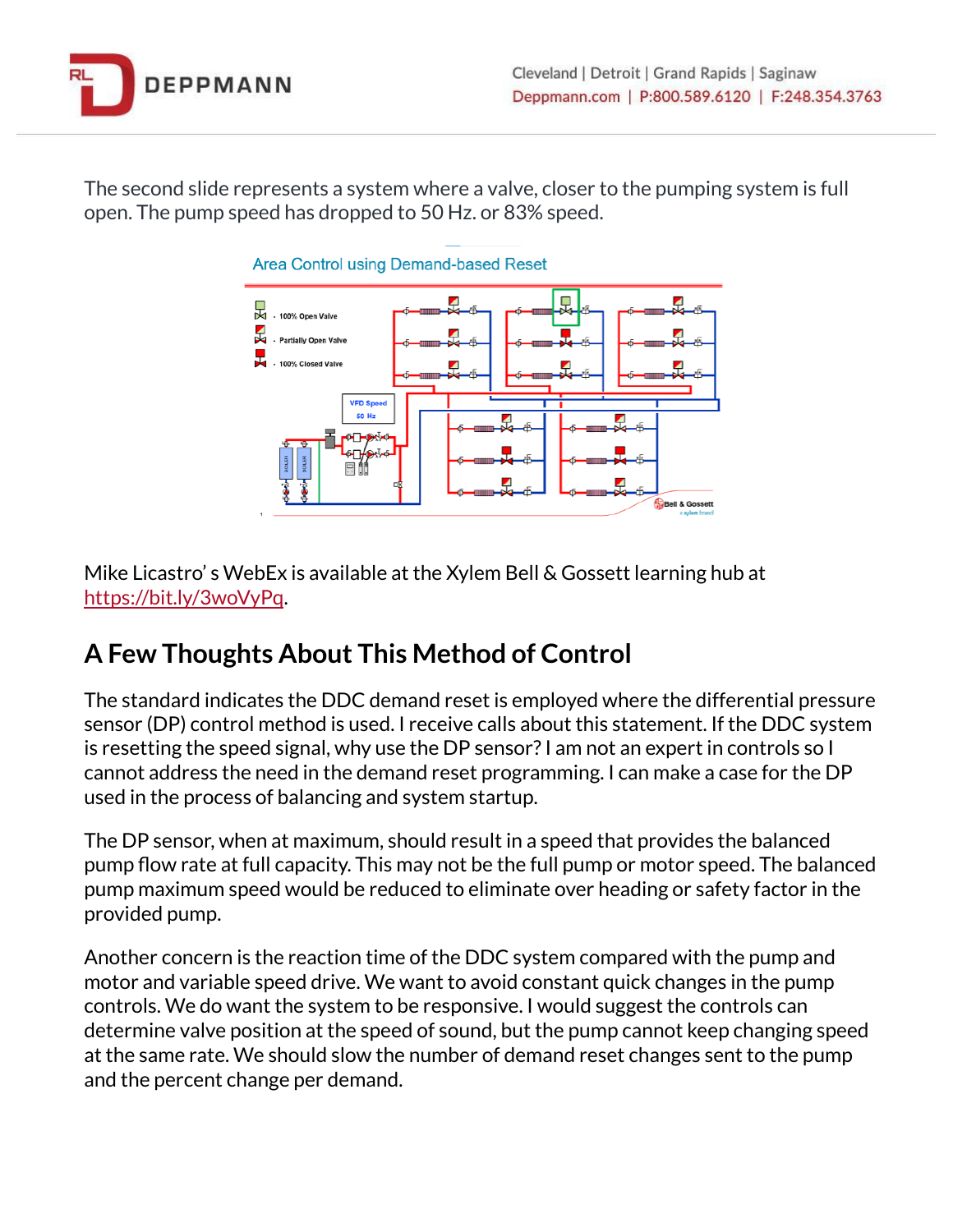

The second slide represents a system where a valve, closer to the pumping system is full open. The pump speed has dropped to 50 Hz. or 83% speed.



Mike Licastro' s WebEx is available at the Xylem Bell & Gossett learning hub a[t](https://bit.ly/3woVyPq) <https://bit.ly/3woVyPq>.

### **A Few Thoughts About This Method of Control**

The standard indicates the DDC demand reset is employed where the differential pressure sensor (DP) control method is used. I receive calls about this statement. If the DDC system is resetting the speed signal, why use the DP sensor?I am not an expert in controls so I cannot address the need in the demand reset programming. I can make a case for the DP used in the process of balancing and system startup.

The DP sensor, when at maximum, should result in a speed that provides the balanced pump flow rate at full capacity. This may not be the full pump or motor speed. The balanced pump maximum speed would be reduced to eliminate over heading or safety factor in the provided pump.

Another concern is the reaction time of the DDC system compared with the pump and motor and variable speed drive. We want to avoid constant quick changes in the pump controls. We do want the system to be responsive. I would suggest the controls can determine valve position at the speed of sound, but the pump cannot keep changing speed at the same rate. We should slow the number of demand reset changes sent to the pump and the percent change per demand.